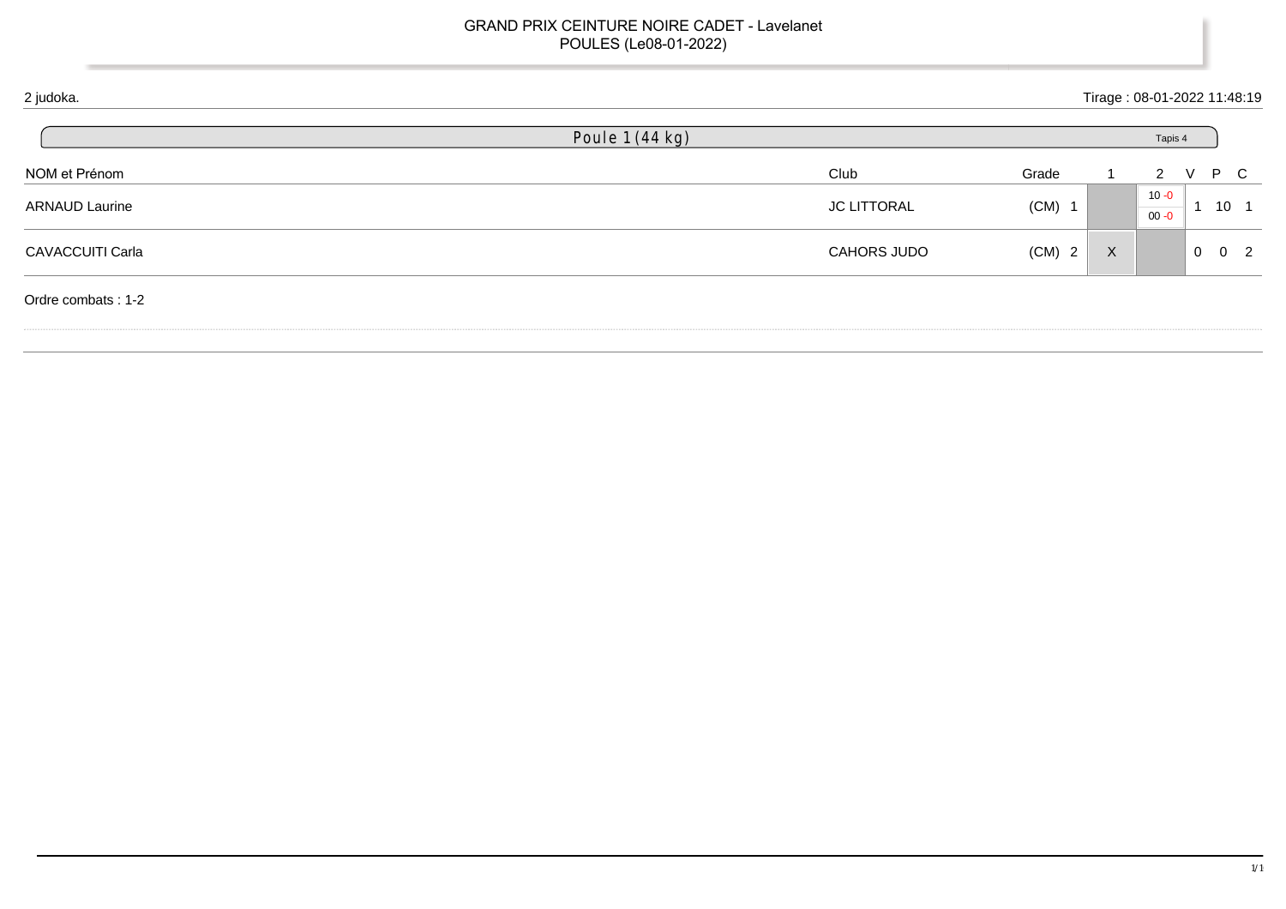| 2 judoka.             |                 |                    |          |              | Tirage: 08-01-2022 11:48:19 |              |                 |  |
|-----------------------|-----------------|--------------------|----------|--------------|-----------------------------|--------------|-----------------|--|
|                       | Poule 1 (44 kg) |                    |          |              | Tapis 4                     |              |                 |  |
| NOM et Prénom         |                 | Club               | Grade    |              | 2                           | $\mathsf{V}$ | P C             |  |
| <b>ARNAUD Laurine</b> |                 | <b>JC LITTORAL</b> | $(CM)$ 1 |              | $10 - 0$<br>$00 - 0$        |              | 10 <sub>1</sub> |  |
| CAVACCUITI Carla      |                 | <b>CAHORS JUDO</b> | $(CM)$ 2 | $\mathsf{X}$ |                             | $0\quad 0$   | $\overline{2}$  |  |
| Ordre combats: 1-2    |                 |                    |          |              |                             |              |                 |  |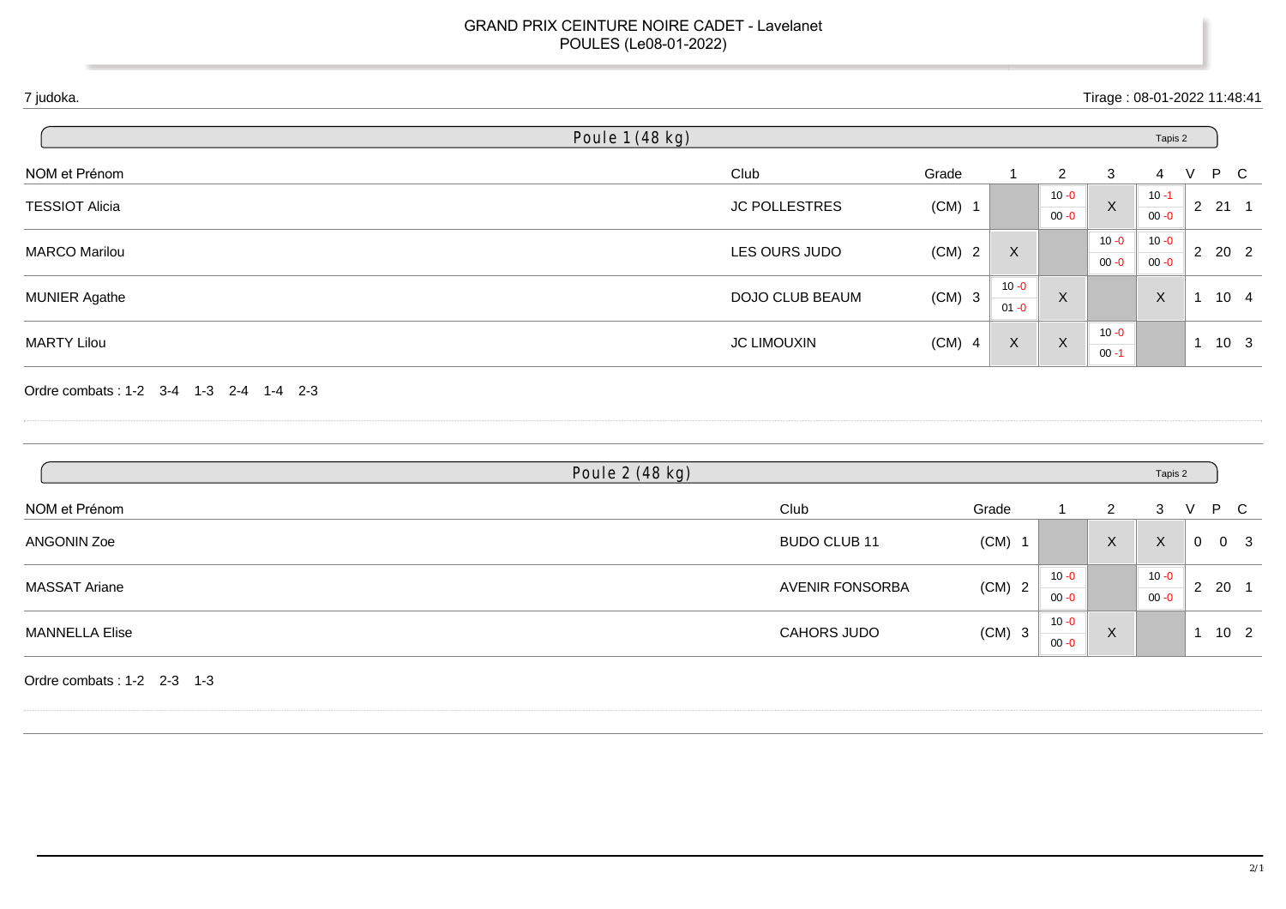| 7 judoka.                              |                        |          |                      |                      | Tirage: 08-01-2022 11:48:41 |                      |                |                             |  |
|----------------------------------------|------------------------|----------|----------------------|----------------------|-----------------------------|----------------------|----------------|-----------------------------|--|
|                                        | Poule 1 (48 kg)        |          |                      |                      |                             | Tapis 2              |                |                             |  |
| NOM et Prénom                          | Club                   | Grade    | $\mathbf{1}$         | $\overline{2}$       | 3                           | $\overline{4}$       | V              | $\mathsf{P}$<br>$\mathbf C$ |  |
| <b>TESSIOT Alicia</b>                  | <b>JC POLLESTRES</b>   | $(CM)$ 1 |                      | $10 - 0$<br>$00 - 0$ | $\mathsf X$                 | $10 - 1$<br>$00 - 0$ |                | $2 \quad 21 \quad 1$        |  |
| <b>MARCO Marilou</b>                   | LES OURS JUDO          | $(CM)$ 2 | X                    |                      | $10 - 0$<br>$00 - 0$        | $10 - 0$<br>$00 - 0$ |                | $2 \quad 20 \quad 2$        |  |
| <b>MUNIER Agathe</b>                   | DOJO CLUB BEAUM        | $(CM)$ 3 | $10 - 0$<br>$01 - 0$ | $\mathsf X$          |                             | $\boldsymbol{X}$     |                | $1 10 4$                    |  |
| <b>MARTY Lilou</b>                     | <b>JC LIMOUXIN</b>     | $(CM)$ 4 | $\mathsf X$          | $\mathsf X$          | $10 - 0$<br>$00 - 1$        |                      |                | $1 10 3$                    |  |
| Ordre combats: 1-2 3-4 1-3 2-4 1-4 2-3 |                        |          |                      |                      |                             |                      |                |                             |  |
|                                        | Poule 2 (48 kg)        |          |                      |                      |                             | Tapis 2              |                |                             |  |
| NOM et Prénom                          | Club                   | Grade    |                      | 1                    | $\overline{2}$              | 3                    | V              | $\mathsf{P}$<br>$\mathbf C$ |  |
| <b>ANGONIN Zoe</b>                     | BUDO CLUB 11           |          | $(CM)$ 1             |                      | $\mathsf X$                 | $\mathsf{X}$         | $\overline{0}$ | 0 <sup>3</sup>              |  |
| <b>MASSAT Ariane</b>                   | <b>AVENIR FONSORBA</b> |          | $(CM)$ 2             | $10 - 0$<br>$00 - 0$ |                             | $10 - 0$<br>$00 - 0$ |                | $2 \quad 20 \quad 1$        |  |
| <b>MANNELLA Elise</b>                  | CAHORS JUDO            |          | $(CM)$ 3             | $10 - 0$<br>$00 - 0$ | $\boldsymbol{X}$            |                      |                | $1 10 2$                    |  |
| Ordre combats: 1-2 2-3 1-3             |                        |          |                      |                      |                             |                      |                |                             |  |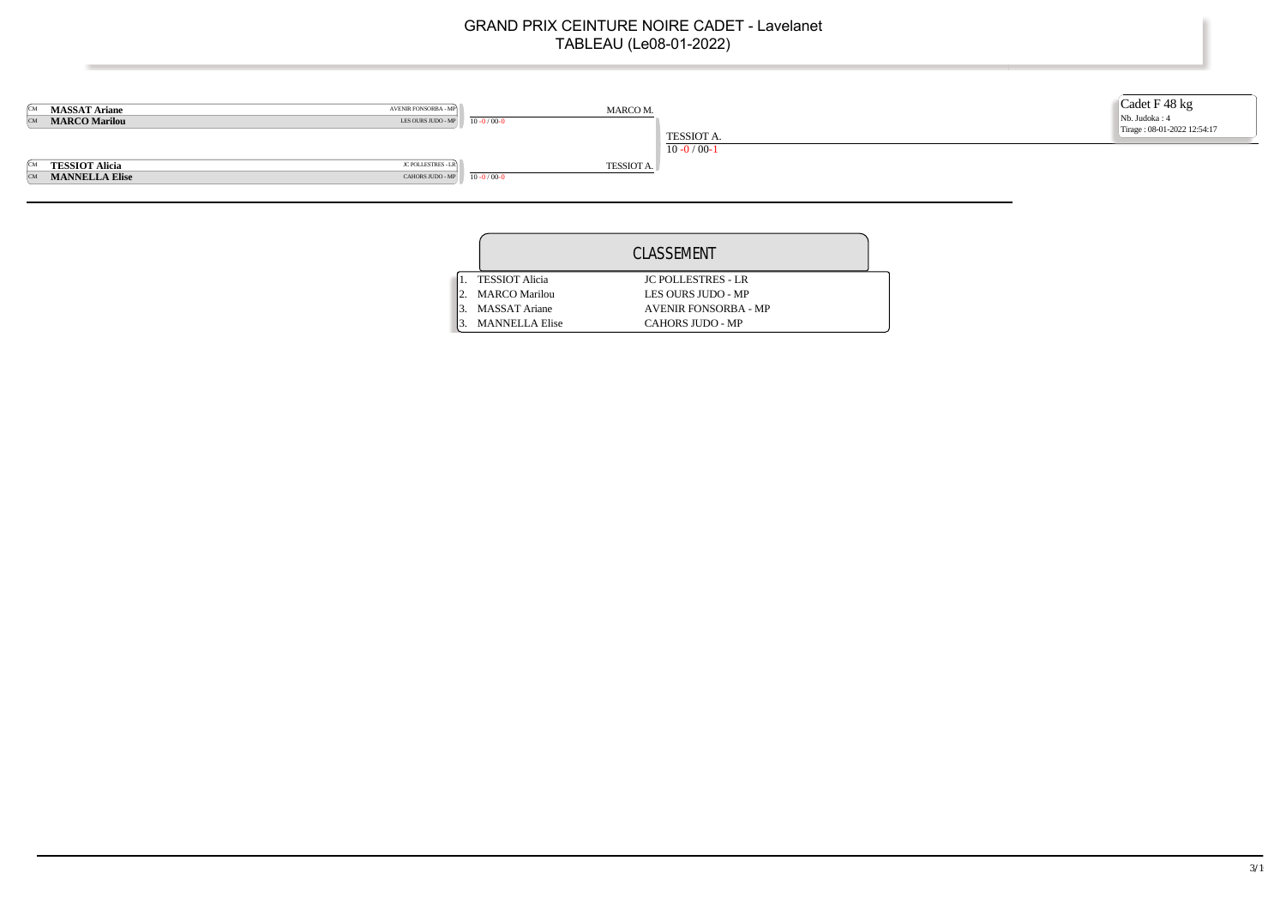

|                       | CLASSEMENT                  |  |
|-----------------------|-----------------------------|--|
| <b>TESSIOT Alicia</b> | <b>IC POLLESTRES - LR</b>   |  |
| <b>MARCO Marilou</b>  | LES OURS JUDO - MP          |  |
| <b>MASSAT Ariane</b>  | <b>AVENIR FONSORBA - MP</b> |  |
| <b>MANNELLA Elise</b> | <b>CAHORS JUDO - MP</b>     |  |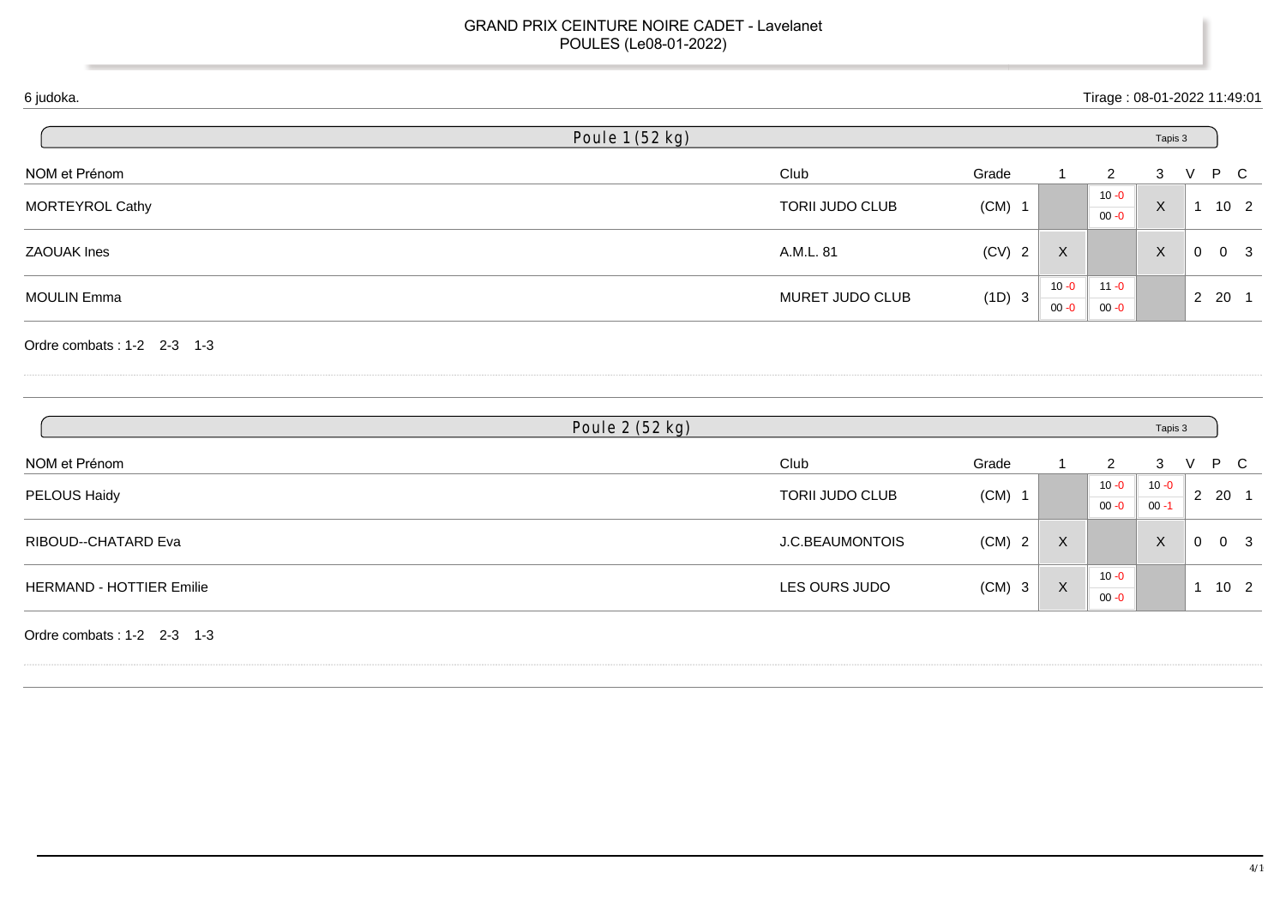| Club      | Grade                                                        |                                                                                                                                                            | 2        | 3 | V |  |
|-----------|--------------------------------------------------------------|------------------------------------------------------------------------------------------------------------------------------------------------------------|----------|---|---|--|
|           |                                                              |                                                                                                                                                            | $10 - 0$ |   |   |  |
|           |                                                              | Tapis 3<br>P C<br>X<br>10 <sub>2</sub><br>$00 - 0$<br>X<br>X<br>$\overline{0}$<br>0 <sub>3</sub><br>$11 - 0$<br>$10 - 0$<br>2 20 1<br>$00 - 0$<br>$00 - 0$ |          |   |   |  |
| A.M.L. 81 | $(CV)$ 2                                                     |                                                                                                                                                            |          |   |   |  |
|           |                                                              |                                                                                                                                                            |          |   |   |  |
|           |                                                              |                                                                                                                                                            |          |   |   |  |
|           |                                                              |                                                                                                                                                            |          |   |   |  |
|           | Poule 1 (52 kg)<br><b>TORII JUDO CLUB</b><br>MURET JUDO CLUB | $(CM)$ 1<br>(1D) 3                                                                                                                                         |          |   |   |  |

| Grade                       |              |          |                      |                  |
|-----------------------------|--------------|----------|----------------------|------------------|
|                             |              | 2        | 3                    | P C<br>v         |
| $(CM)$ 1                    |              | $10 - 0$ | $10 - 0$             | 2 20 1           |
|                             |              | $00 - 0$ | $00 - 1$             |                  |
| J.C.BEAUMONTOIS<br>$(CM)$ 2 | X            |          | $\times$             | $_{3}$<br>0<br>0 |
|                             |              |          |                      |                  |
|                             | $\mathsf{X}$ |          |                      | 10 <sub>2</sub>  |
|                             |              | $(CM)$ 3 | $10 - 0$<br>$00 - 0$ |                  |

Ordre combats : 1-2 2-3 1-3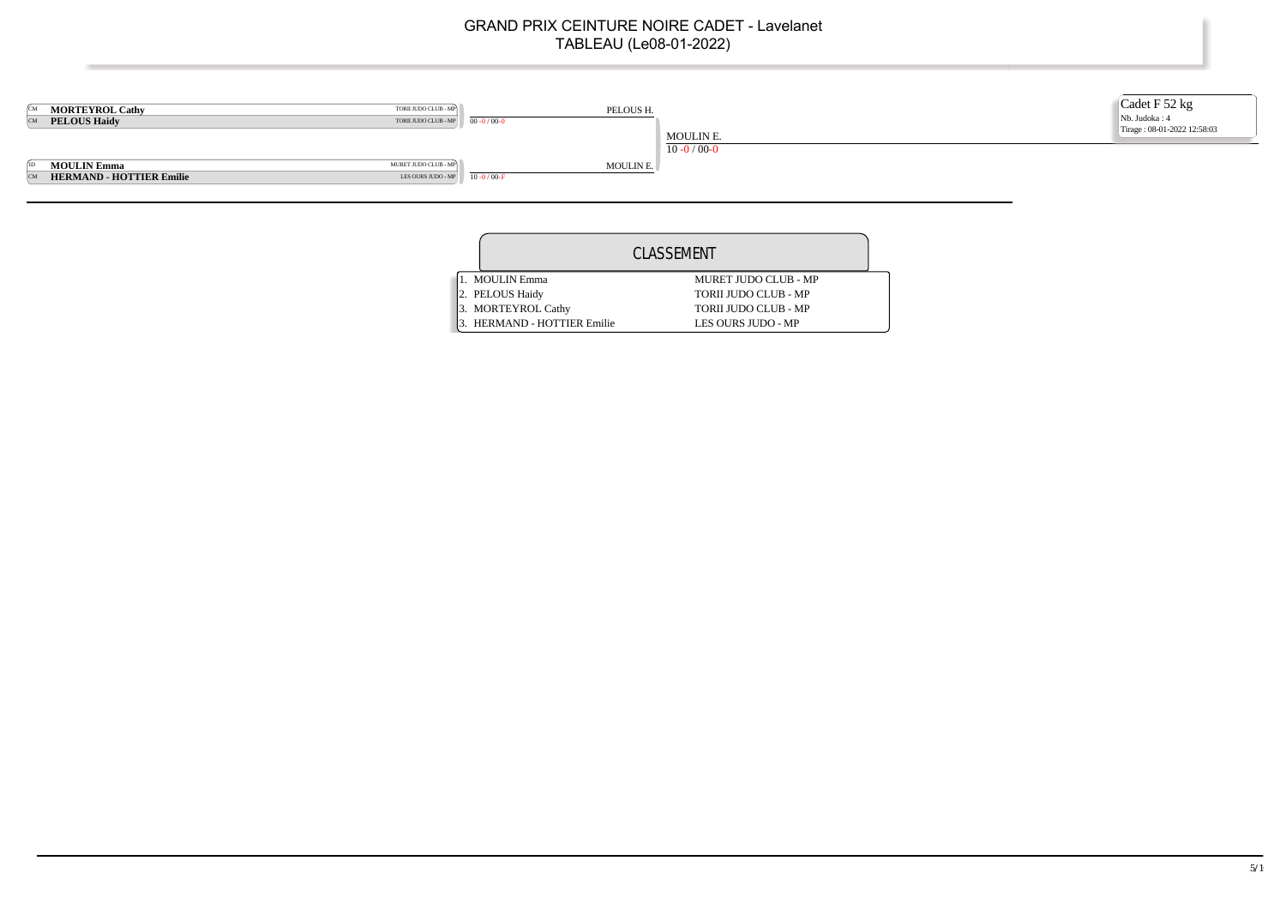

|                                 | CLASSEMENT                  |
|---------------------------------|-----------------------------|
| MOULIN Emma                     | <b>MURET JUDO CLUB - MP</b> |
| 2. PELOUS Haidy                 | <b>TORII JUDO CLUB - MP</b> |
| 3. MORTEYROL Cathy              | <b>TORII JUDO CLUB - MP</b> |
| <b>HERMAND - HOTTIER Emilie</b> | LES OURS JUDO - MP          |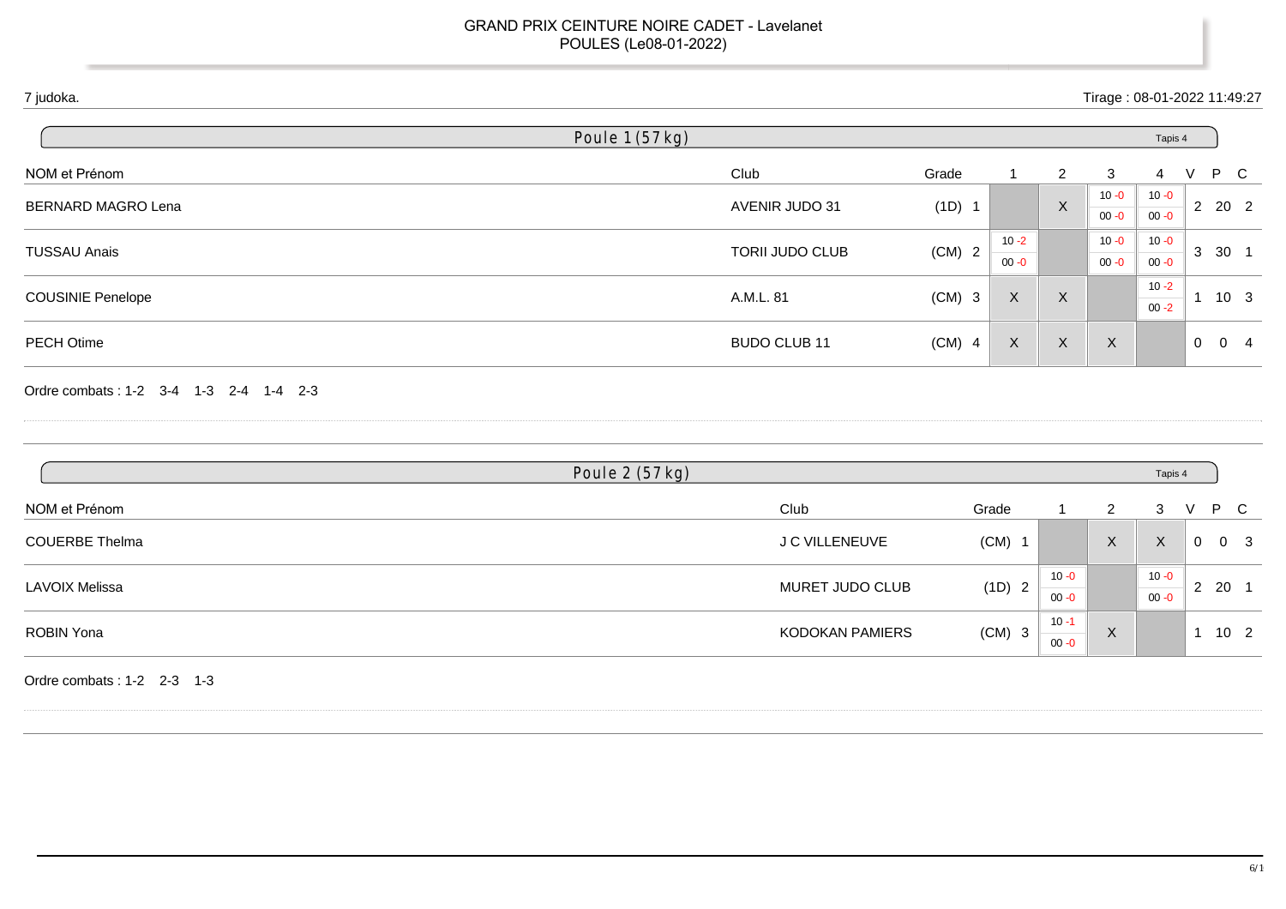| 7 judoka.                              |                 |                 |          |                      |                | Tirage: 08-01-2022 11:49:27 |                      |                |                              |
|----------------------------------------|-----------------|-----------------|----------|----------------------|----------------|-----------------------------|----------------------|----------------|------------------------------|
|                                        | Poule 1 (57 kg) |                 |          |                      |                |                             | Tapis 4              |                |                              |
| NOM et Prénom                          |                 | Club            | Grade    | 1                    | $\overline{2}$ | $\mathbf{3}$                | 4                    | V              | $\mathsf{P}$<br>$\mathsf{C}$ |
| BERNARD MAGRO Lena                     |                 | AVENIR JUDO 31  | (1D) 1   |                      | $\mathsf{X}$   | $10 - 0$<br>$00 - 0$        | $10 - 0$<br>$00 - 0$ |                | 2 20 2                       |
| <b>TUSSAU Anais</b>                    |                 | TORII JUDO CLUB | $(CM)$ 2 | $10 - 2$<br>$00 - 0$ |                | $10 - 0$<br>$00 - 0$        | $10 - 0$<br>$00 - 0$ |                | 3 30 1                       |
| <b>COUSINIE Penelope</b>               |                 | A.M.L. 81       | $(CM)$ 3 | $\mathsf{X}$         | $\mathsf{X}$   |                             | $10 - 2$<br>$00 - 2$ |                | $1 10 3$                     |
| PECH Otime                             |                 | BUDO CLUB 11    | $(CM)$ 4 | $\mathsf X$          | $\mathsf{X}$   | $\mathsf{X}$                |                      |                | $0 \quad 0 \quad 4$          |
| Ordre combats: 1-2 3-4 1-3 2-4 1-4 2-3 |                 |                 |          |                      |                |                             |                      |                |                              |
|                                        | Poule 2 (57 kg) |                 |          |                      |                |                             | Tapis 4              |                |                              |
| NOM et Prénom                          |                 | Club            |          | Grade                |                | $\overline{2}$              | $\mathbf{3}$         | $\vee$         | P<br>$\mathbf C$             |
| <b>COUERBE Thelma</b>                  |                 | J C VILLENEUVE  |          | $(CM)$ 1             |                | $\mathsf{X}$                | $\mathsf{X}$         | $\overline{0}$ | 0 <sup>3</sup>               |
|                                        |                 |                 |          |                      | $10 - 0$       |                             | $10 - 0$             |                |                              |
| <b>LAVOIX Melissa</b>                  |                 | MURET JUDO CLUB |          | (1D) 2               | $00 - 0$       |                             | $00 - 0$             |                | $2 \quad 20 \quad 1$         |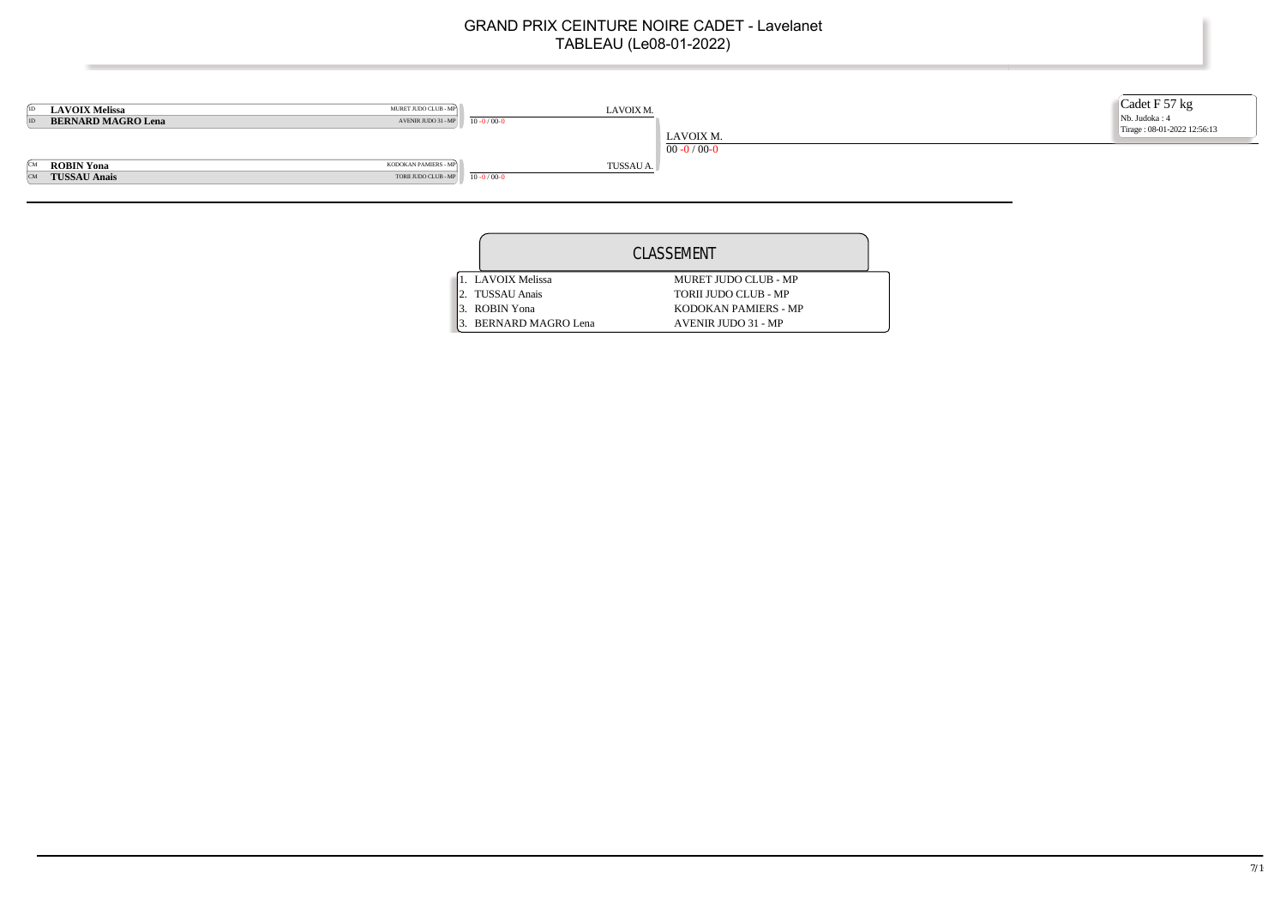

|                     | CLASSEMENT                  |
|---------------------|-----------------------------|
| 1. LAVOIX Melissa   | MURET JUDO CLUB - MP        |
| <b>TUSSAU Anais</b> | <b>TORIL JUDO CLUB - MP</b> |
| 3. ROBIN Yona       | KODOKAN PAMIERS - MP        |
| BERNARD MAGRO Lena  | <b>AVENIR JUDO 31 - MP</b>  |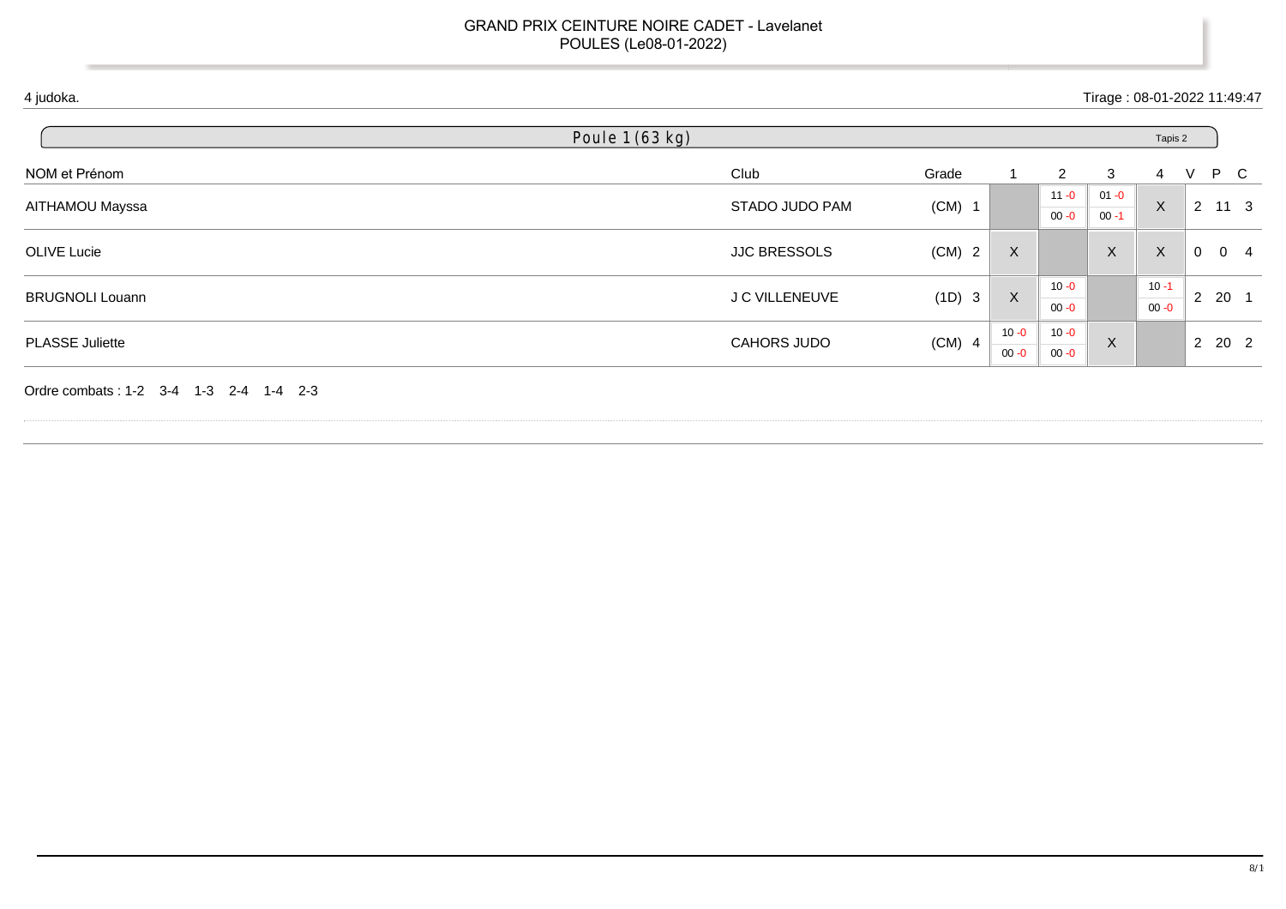|                        | Poule 1 (63 kg)                                                                                                                                                                                                                                                                                                                                                                                  |       |          |                      |          |         |   |  |
|------------------------|--------------------------------------------------------------------------------------------------------------------------------------------------------------------------------------------------------------------------------------------------------------------------------------------------------------------------------------------------------------------------------------------------|-------|----------|----------------------|----------|---------|---|--|
| NOM et Prénom          | Club                                                                                                                                                                                                                                                                                                                                                                                             | Grade |          | $\mathbf{2}^{\circ}$ | 3        | 4       | V |  |
| AITHAMOU Mayssa        |                                                                                                                                                                                                                                                                                                                                                                                                  |       |          | $11 - 0$             | $01 - 0$ |         |   |  |
|                        | P C<br>$\times$<br>$2 \quad 11 \quad 3$<br>STADO JUDO PAM<br>$(CM)$ 1<br>$00 - 1$<br>$00 - 0$<br>$\mathsf X$<br>$\mathsf{X}$<br>$(CM)$ 2<br>X<br><b>JJC BRESSOLS</b><br>$0 \quad 0 \quad 4$<br>$10 - 1$<br>$10 - 0$<br>$\mathsf{X}$<br>$2 \quad 20 \quad 1$<br>(1D) 3<br>J C VILLENEUVE<br>$00 - 0$<br>$00 - 0$<br>$10 - 0$<br>$10 - 0$<br>$(CM)$ 4<br>$\boldsymbol{X}$<br>2 20 2<br>CAHORS JUDO |       |          |                      |          |         |   |  |
| OLIVE Lucie            |                                                                                                                                                                                                                                                                                                                                                                                                  |       |          |                      |          |         |   |  |
|                        |                                                                                                                                                                                                                                                                                                                                                                                                  |       |          |                      |          | Tapis 2 |   |  |
| <b>BRUGNOLI Louann</b> |                                                                                                                                                                                                                                                                                                                                                                                                  |       |          |                      |          |         |   |  |
|                        |                                                                                                                                                                                                                                                                                                                                                                                                  |       |          |                      |          |         |   |  |
|                        |                                                                                                                                                                                                                                                                                                                                                                                                  |       |          |                      |          |         |   |  |
| PLASSE Juliette        |                                                                                                                                                                                                                                                                                                                                                                                                  |       | $00 - 0$ | $00 - 0$             |          |         |   |  |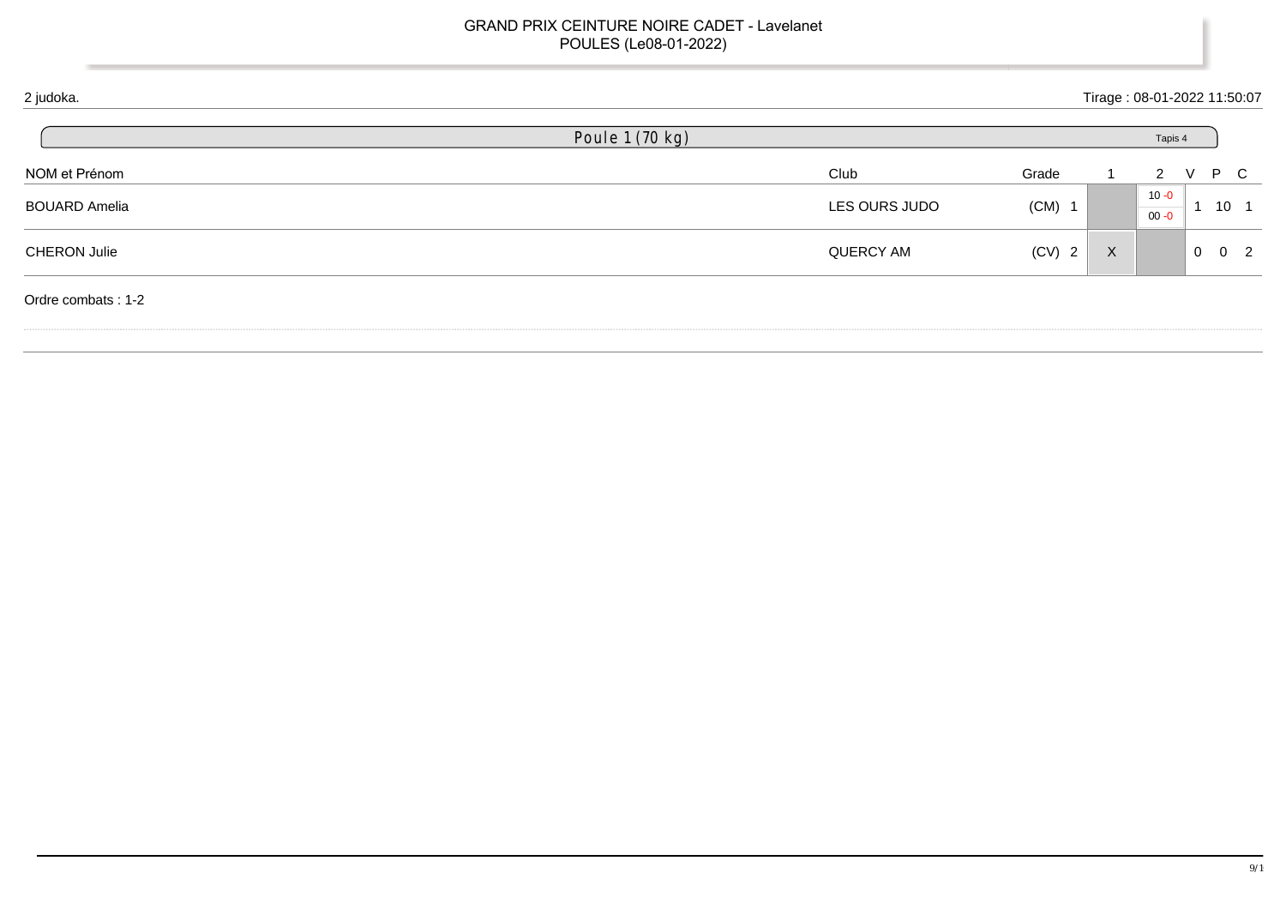| 2 judoka.            |                 |               |          |              | Tirage: 08-01-2022 11:50:07 |            |                 |                |
|----------------------|-----------------|---------------|----------|--------------|-----------------------------|------------|-----------------|----------------|
|                      | Poule 1 (70 kg) |               |          |              | Tapis 4                     |            |                 |                |
| NOM et Prénom        |                 | Club          | Grade    |              | 2                           | $\vee$     | P C             |                |
| <b>BOUARD Amelia</b> |                 | LES OURS JUDO | $(CM)$ 1 |              | $10 - 0$<br>$00 - 0$        |            | 10 <sub>1</sub> |                |
| <b>CHERON Julie</b>  |                 | QUERCY AM     | $(CV)$ 2 | $\mathsf{X}$ |                             | $0\quad 0$ |                 | $\overline{2}$ |
| Ordre combats: 1-2   |                 |               |          |              |                             |            |                 |                |